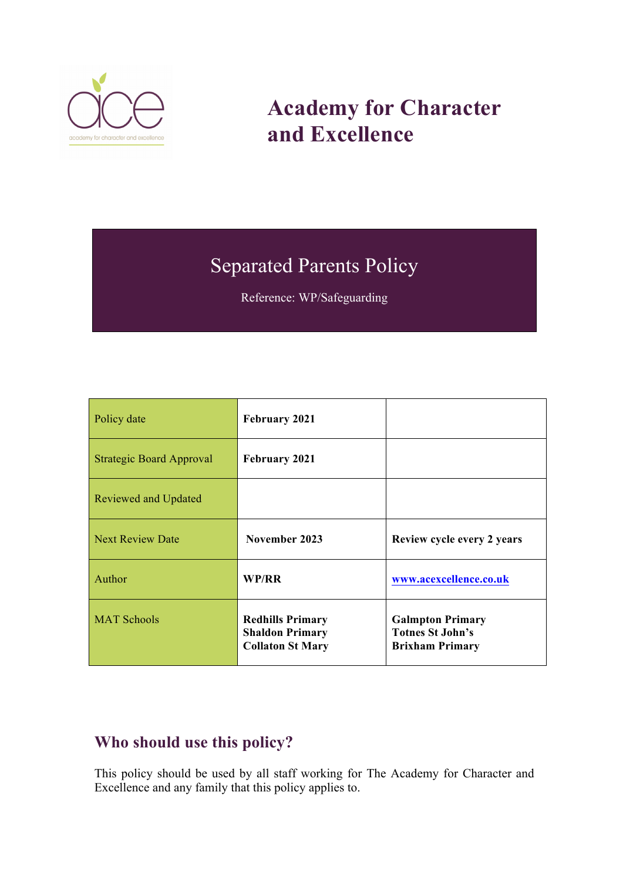

# **Academy for Character and Excellence**

# Separated Parents Policy

Reference: WP/Safeguarding

| Policy date                     | <b>February 2021</b>                                                         |                                                                              |
|---------------------------------|------------------------------------------------------------------------------|------------------------------------------------------------------------------|
| <b>Strategic Board Approval</b> | February 2021                                                                |                                                                              |
| Reviewed and Updated            |                                                                              |                                                                              |
| <b>Next Review Date</b>         | November 2023                                                                | Review cycle every 2 years                                                   |
| Author                          | WP/RR                                                                        | www.acexcellence.co.uk                                                       |
| <b>MAT Schools</b>              | <b>Redhills Primary</b><br><b>Shaldon Primary</b><br><b>Collaton St Mary</b> | <b>Galmpton Primary</b><br><b>Totnes St John's</b><br><b>Brixham Primary</b> |

# **Who should use this policy?**

This policy should be used by all staff working for The Academy for Character and Excellence and any family that this policy applies to.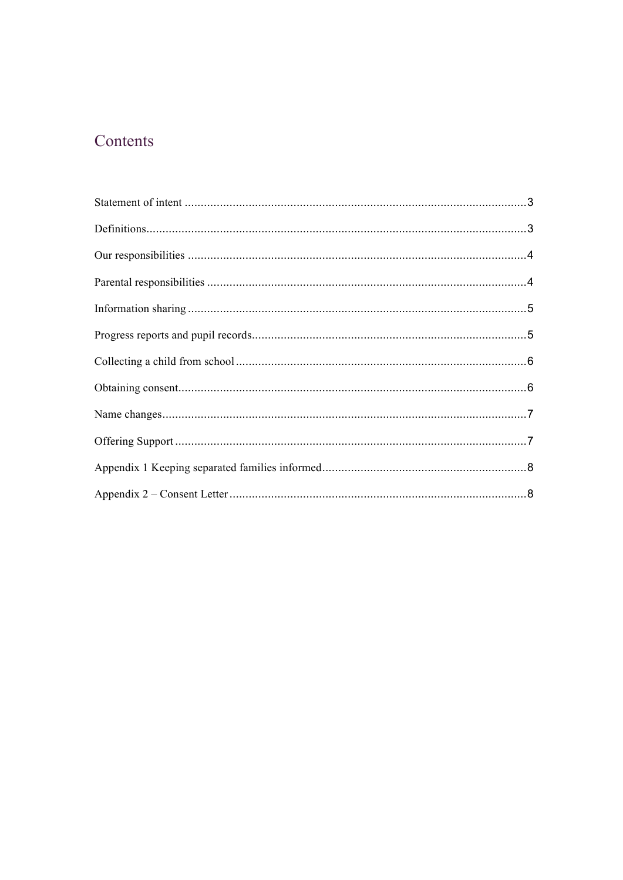# Contents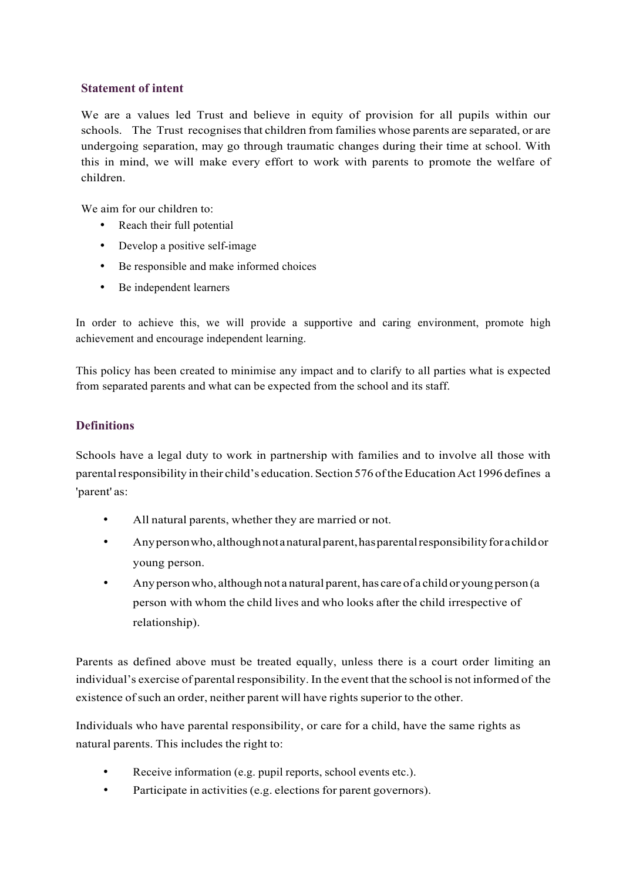## <span id="page-2-0"></span>**Statement of intent**

We are a values led Trust and believe in equity of provision for all pupils within our schools. The Trust recognises that children from families whose parents are separated, or are undergoing separation, may go through traumatic changes during their time at school. With this in mind, we will make every effort to work with parents to promote the welfare of children.

We aim for our children to:

- Reach their full potential
- Develop a positive self-image
- Be responsible and make informed choices
- Be independent learners

In order to achieve this, we will provide a supportive and caring environment, promote high achievement and encourage independent learning.

This policy has been created to minimise any impact and to clarify to all parties what is expected from separated parents and what can be expected from the school and its staff.

## <span id="page-2-1"></span>**Definitions**

Schools have a legal duty to work in partnership with families and to involve all those with parental responsibility in their child's education. Section 576 of the Education Act 1996 defines a 'parent' as:

- All natural parents, whether they are married or not.
- Any person who, although not a natural parent, has parental responsibility for a child or young person.
- Any personwho, although not a natural parent, has care of a child or young person (a person with whom the child lives and who looks after the child irrespective of relationship).

Parents as defined above must be treated equally, unless there is a court order limiting an individual's exercise of parental responsibility. In the event that the school is not informed of the existence of such an order, neither parent will have rights superior to the other.

Individuals who have parental responsibility, or care for a child, have the same rights as natural parents. This includes the right to:

- Receive information (e.g. pupil reports, school events etc.).
- Participate in activities (e.g. elections for parent governors).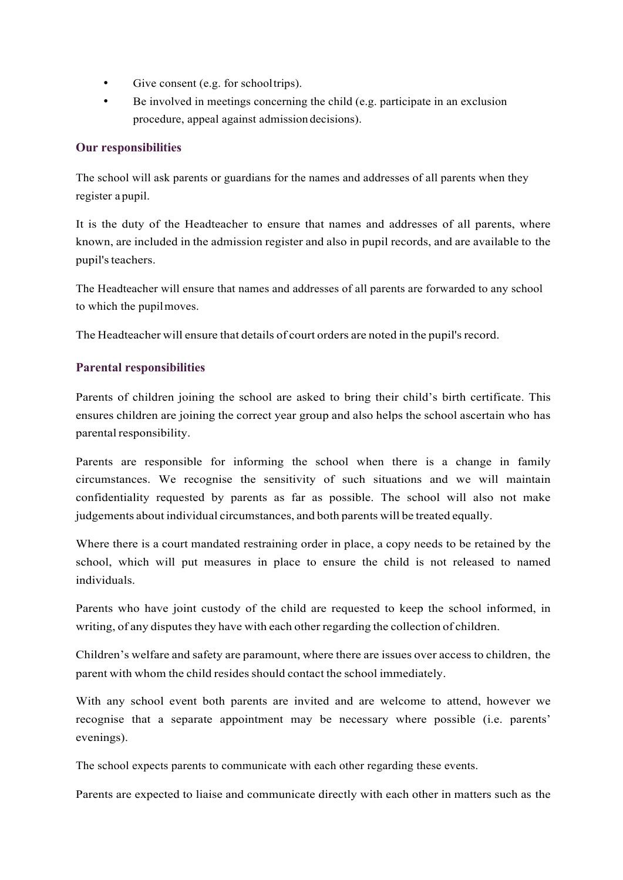- Give consent (e.g. for schooltrips).
- Be involved in meetings concerning the child (e.g. participate in an exclusion procedure, appeal against admission decisions).

#### <span id="page-3-0"></span>**Our responsibilities**

The school will ask parents or guardians for the names and addresses of all parents when they register a pupil.

It is the duty of the Headteacher to ensure that names and addresses of all parents, where known, are included in the admission register and also in pupil records, and are available to the pupil's teachers.

The Headteacher will ensure that names and addresses of all parents are forwarded to any school to which the pupilmoves.

The Headteacher will ensure that details of court orders are noted in the pupil's record.

#### <span id="page-3-1"></span>**Parental responsibilities**

Parents of children joining the school are asked to bring their child's birth certificate. This ensures children are joining the correct year group and also helps the school ascertain who has parental responsibility.

Parents are responsible for informing the school when there is a change in family circumstances. We recognise the sensitivity of such situations and we will maintain confidentiality requested by parents as far as possible. The school will also not make judgements about individual circumstances, and both parents will be treated equally.

Where there is a court mandated restraining order in place, a copy needs to be retained by the school, which will put measures in place to ensure the child is not released to named individuals.

Parents who have joint custody of the child are requested to keep the school informed, in writing, of any disputes they have with each other regarding the collection of children.

Children's welfare and safety are paramount, where there are issues over access to children, the parent with whom the child resides should contact the school immediately.

With any school event both parents are invited and are welcome to attend, however we recognise that a separate appointment may be necessary where possible (i.e. parents' evenings).

The school expects parents to communicate with each other regarding these events.

Parents are expected to liaise and communicate directly with each other in matters such as the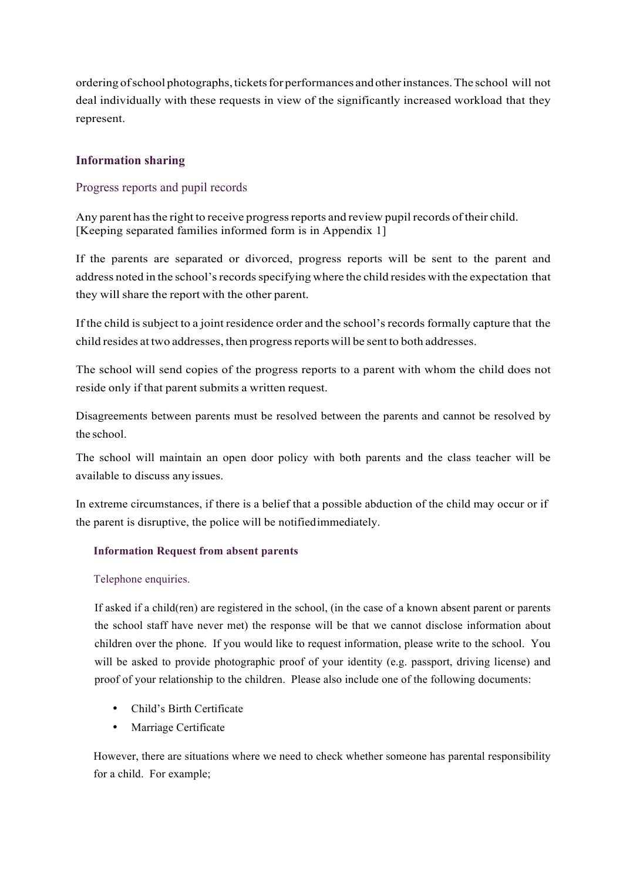ordering ofschool photographs,ticketsfor performances and otherinstances.The school will not deal individually with these requests in view of the significantly increased workload that they represent.

## <span id="page-4-0"></span>**Information sharing**

# <span id="page-4-1"></span>Progress reports and pupil records

Any parent has the right to receive progress reports and review pupil records of their child. [Keeping separated families informed form is in Appendix 1]

If the parents are separated or divorced, progress reports will be sent to the parent and address noted in the school's records specifying where the child resides with the expectation that they will share the report with the other parent.

If the child issubject to a joint residence order and the school'srecordsformally capture that the child resides at two addresses, then progressreports will be sent to both addresses.

The school will send copies of the progress reports to a parent with whom the child does not reside only if that parent submits a written request.

Disagreements between parents must be resolved between the parents and cannot be resolved by the school.

The school will maintain an open door policy with both parents and the class teacher will be available to discuss anyissues.

In extreme circumstances, if there is a belief that a possible abduction of the child may occur or if the parent is disruptive, the police will be notifiedimmediately.

## **Information Request from absent parents**

## Telephone enquiries.

If asked if a child(ren) are registered in the school, (in the case of a known absent parent or parents the school staff have never met) the response will be that we cannot disclose information about children over the phone. If you would like to request information, please write to the school. You will be asked to provide photographic proof of your identity (e.g. passport, driving license) and proof of your relationship to the children. Please also include one of the following documents:

- Child's Birth Certificate
- Marriage Certificate

However, there are situations where we need to check whether someone has parental responsibility for a child. For example;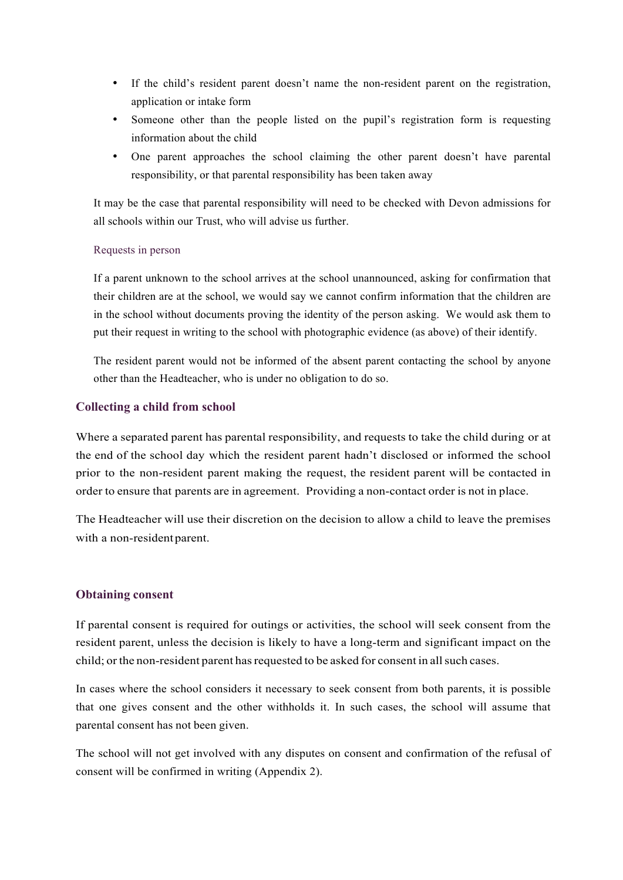- If the child's resident parent doesn't name the non-resident parent on the registration, application or intake form
- Someone other than the people listed on the pupil's registration form is requesting information about the child
- One parent approaches the school claiming the other parent doesn't have parental responsibility, or that parental responsibility has been taken away

It may be the case that parental responsibility will need to be checked with Devon admissions for all schools within our Trust, who will advise us further.

#### Requests in person

If a parent unknown to the school arrives at the school unannounced, asking for confirmation that their children are at the school, we would say we cannot confirm information that the children are in the school without documents proving the identity of the person asking. We would ask them to put their request in writing to the school with photographic evidence (as above) of their identify.

The resident parent would not be informed of the absent parent contacting the school by anyone other than the Headteacher, who is under no obligation to do so.

#### <span id="page-5-0"></span>**Collecting a child from school**

Where a separated parent has parental responsibility, and requests to take the child during or at the end of the school day which the resident parent hadn't disclosed or informed the school prior to the non-resident parent making the request, the resident parent will be contacted in order to ensure that parents are in agreement. Providing a non-contact order is not in place.

The Headteacher will use their discretion on the decision to allow a child to leave the premises with a non-resident parent.

#### <span id="page-5-1"></span>**Obtaining consent**

If parental consent is required for outings or activities, the school will seek consent from the resident parent, unless the decision is likely to have a long-term and significant impact on the child; or the non-resident parent has requested to be asked for consent in all such cases.

In cases where the school considers it necessary to seek consent from both parents, it is possible that one gives consent and the other withholds it. In such cases, the school will assume that parental consent has not been given.

The school will not get involved with any disputes on consent and confirmation of the refusal of consent will be confirmed in writing (Appendix 2).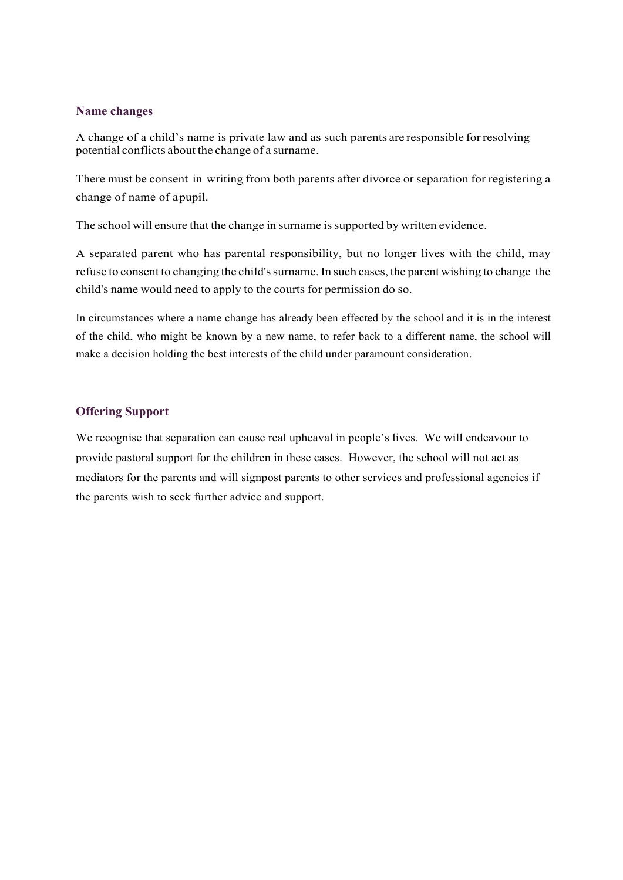#### <span id="page-6-0"></span>**Name changes**

A change of a child's name is private law and as such parents are responsible forresolving potential conflicts about the change of a surname.

There must be consent in writing from both parents after divorce or separation for registering a change of name of apupil.

The school will ensure that the change in surname issupported by written evidence.

A separated parent who has parental responsibility, but no longer lives with the child, may refuse to consent to changing the child's surname. In such cases, the parent wishing to change the child's name would need to apply to the courts for permission do so.

In circumstances where a name change has already been effected by the school and it is in the interest of the child, who might be known by a new name, to refer back to a different name, the school will make a decision holding the best interests of the child under paramount consideration.

#### <span id="page-6-1"></span>**Offering Support**

We recognise that separation can cause real upheaval in people's lives. We will endeavour to provide pastoral support for the children in these cases. However, the school will not act as mediators for the parents and will signpost parents to other services and professional agencies if the parents wish to seek further advice and support.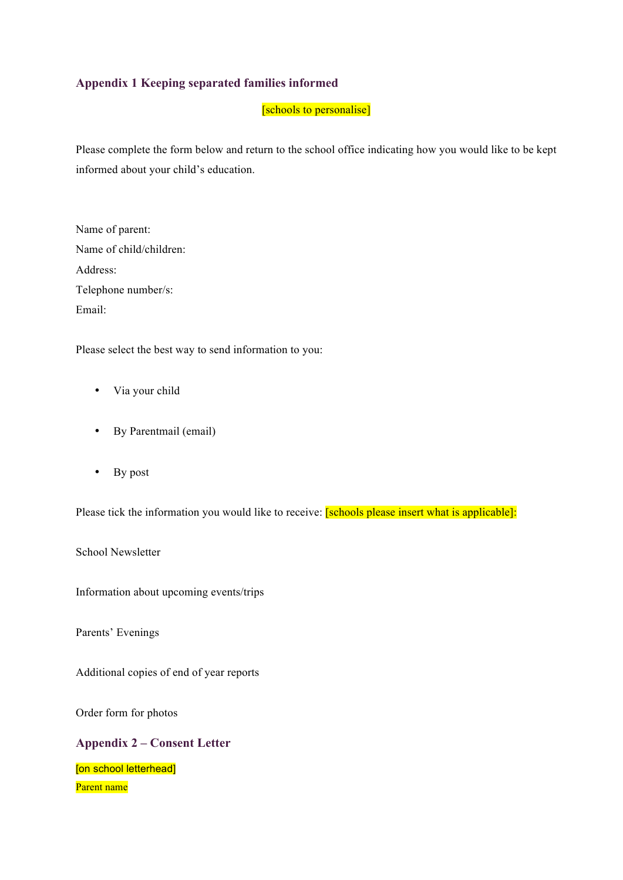#### <span id="page-7-0"></span>**Appendix 1 Keeping separated families informed**

[schools to personalise]

Please complete the form below and return to the school office indicating how you would like to be kept informed about your child's education.

| Name of parent:         |
|-------------------------|
| Name of child/children: |
| Address:                |
| Telephone number/s:     |
| Email:                  |

Please select the best way to send information to you:

- Via your child
- By Parentmail (email)
- By post

Please tick the information you would like to receive: **[schools please insert what is applicable]**:

School Newsletter

Information about upcoming events/trips

Parents' Evenings

Additional copies of end of year reports

Order form for photos

#### <span id="page-7-1"></span>**Appendix 2 – Consent Letter**

[on school letterhead] Parent name